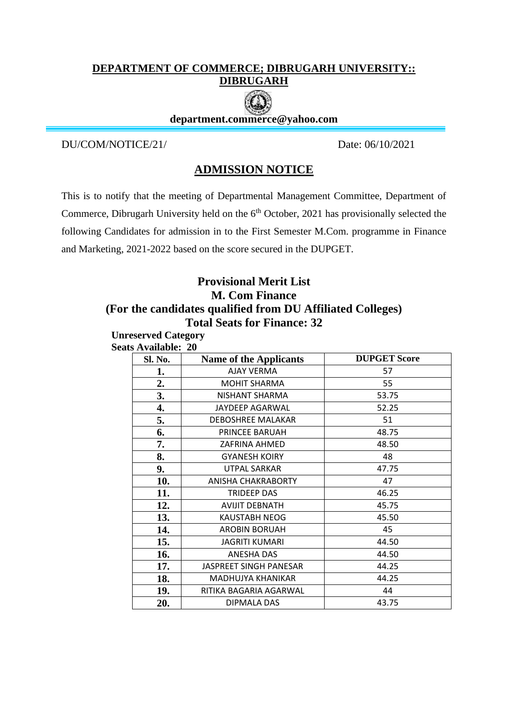## **DEPARTMENT OF COMMERCE; DIBRUGARH UNIVERSITY:: DIBRUGARH**



**department.commerce@yahoo.com**

### DU/COM/NOTICE/21/ Date: 06/10/2021

# **ADMISSION NOTICE**

This is to notify that the meeting of Departmental Management Committee, Department of Commerce, Dibrugarh University held on the 6<sup>th</sup> October, 2021 has provisionally selected the following Candidates for admission in to the First Semester M.Com. programme in Finance and Marketing, 2021-2022 based on the score secured in the DUPGET.

# **Provisional Merit List M. Com Finance (For the candidates qualified from DU Affiliated Colleges) Total Seats for Finance: 32**

# **Unreserved Category**

| Sl. No. | <b>Name of the Applicants</b> | <b>DUPGET Score</b> |
|---------|-------------------------------|---------------------|
| 1.      | AJAY VERMA                    | 57                  |
| 2.      | MOHIT SHARMA                  | 55                  |
| 3.      | NISHANT SHARMA                | 53.75               |
| 4.      | JAYDEEP AGARWAL               | 52.25               |
| 5.      | <b>DEBOSHREE MALAKAR</b>      | 51                  |
| 6.      | PRINCEE BARUAH                | 48.75               |
| 7.      | ZAFRINA AHMED                 | 48.50               |
| 8.      | <b>GYANESH KOIRY</b>          | 48                  |
| 9.      | UTPAL SARKAR                  | 47.75               |
| 10.     | ANISHA CHAKRABORTY            | 47                  |
| 11.     | TRIDEEP DAS                   | 46.25               |
| 12.     | <b>AVIJIT DEBNATH</b>         | 45.75               |
| 13.     | <b>KAUSTABH NEOG</b>          | 45.50               |
| 14.     | AROBIN BORUAH                 | 45                  |
| 15.     | <b>JAGRITI KUMARI</b>         | 44.50               |
| 16.     | ANESHA DAS                    | 44.50               |
| 17.     | JASPREET SINGH PANESAR        | 44.25               |
| 18.     | MADHUJYA KHANIKAR             | 44.25               |
| 19.     | RITIKA BAGARIA AGARWAL        | 44                  |
| 20.     | DIPMALA DAS                   | 43.75               |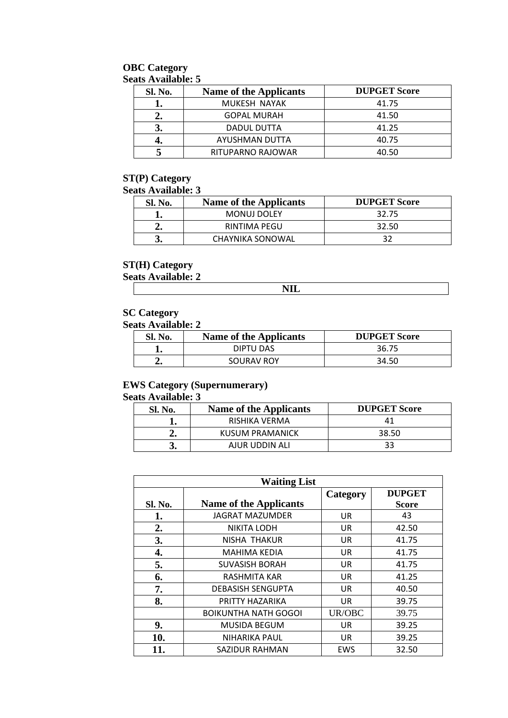### **OBC Category Seats Available: 5**

| Sl. No. | <b>Name of the Applicants</b> | <b>DUPGET Score</b> |
|---------|-------------------------------|---------------------|
|         | MUKESH NAYAK                  | 41.75               |
| 2.      | <b>GOPAL MURAH</b>            | 41.50               |
|         | DADUL DUTTA                   | 41.25               |
|         | AYUSHMAN DUTTA                | 40.75               |
|         | RITUPARNO RAJOWAR             | 40.50               |

### **ST(P) Category**

#### **Seats Available: 3**

| Sl. No. | <b>Name of the Applicants</b> | <b>DUPGET Score</b> |
|---------|-------------------------------|---------------------|
|         | <b>MONUJ DOLEY</b>            | 32.75               |
|         | RINTIMA PEGU                  | 32.50               |
|         | CHAYNIKA SONOWAL              |                     |

### **ST(H) Category**

**Seats Available: 2**

| $-$<br>$\sim$ $\sim$ $\sim$ |  |
|-----------------------------|--|

### **SC Category**

**Seats Available: 2**

| Sl. No. | <b>Name of the Applicants</b> | <b>DUPGET Score</b> |
|---------|-------------------------------|---------------------|
|         | DIPTU DAS                     | 36.75               |
| ٥.      | <b>SOURAV ROY</b>             | 34.50               |

### **EWS Category (Supernumerary)**

| <b>Sl. No.</b> | <b>Name of the Applicants</b> | <b>DUPGET Score</b> |
|----------------|-------------------------------|---------------------|
|                | RISHIKA VERMA                 | 41                  |
|                | KUSUM PRAMANICK               | 38.50               |
|                | AJUR UDDIN ALI                | 33                  |

| <b>Waiting List</b> |                               |           |                               |
|---------------------|-------------------------------|-----------|-------------------------------|
| Sl. No.             | <b>Name of the Applicants</b> | Category  | <b>DUPGET</b><br><b>Score</b> |
| 1.                  | <b>JAGRAT MAZUMDER</b>        | UR        | 43                            |
| 2.                  | NIKITA LODH                   | <b>UR</b> | 42.50                         |
| 3.                  | NISHA THAKUR                  | UR        | 41.75                         |
| 4.                  | <b>MAHIMA KEDIA</b>           | UR        | 41.75                         |
| 5.                  | <b>SUVASISH BORAH</b>         | UR        | 41.75                         |
| 6.                  | <b>RASHMITA KAR</b>           | UR        | 41.25                         |
| 7.                  | <b>DEBASISH SENGUPTA</b>      | UR        | 40.50                         |
| 8.                  | PRITTY HAZARIKA               | <b>UR</b> | 39.75                         |
|                     | <b>BOIKUNTHA NATH GOGOI</b>   | UR/OBC    | 39.75                         |
| 9.                  | <b>MUSIDA BEGUM</b>           | UR        | 39.25                         |
| 10.                 | NIHARIKA PAUL                 | <b>UR</b> | 39.25                         |
| 11.                 | SAZIDUR RAHMAN                | EWS       | 32.50                         |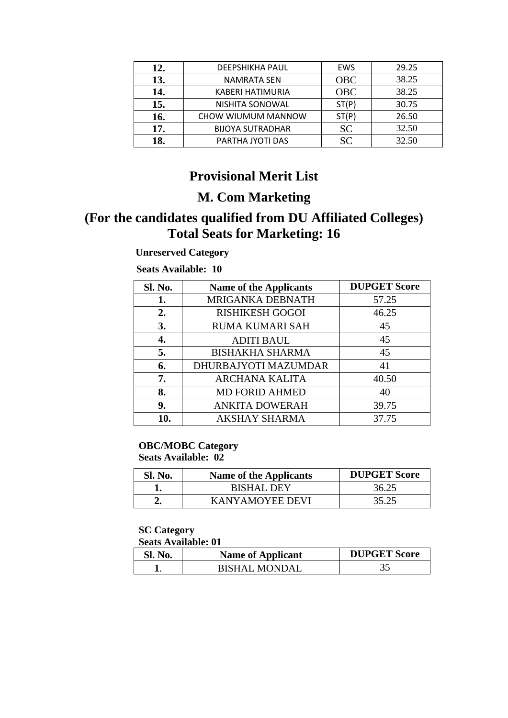| 12. | DEEPSHIKHA PAUL         | EWS        | 29.25 |
|-----|-------------------------|------------|-------|
| 13. | <b>NAMRATA SEN</b>      | <b>OBC</b> | 38.25 |
| 14. | KABERI HATIMURIA        | <b>OBC</b> | 38.25 |
| 15. | NISHITA SONOWAL         | ST(P)      | 30.75 |
| 16. | CHOW WIUMUM MANNOW      | ST(P)      | 26.50 |
| 17. | <b>BIJOYA SUTRADHAR</b> | <b>SC</b>  | 32.50 |
| 18. | PARTHA JYOTI DAS        | <b>SC</b>  | 32.50 |

# **Provisional Merit List**

# **M. Com Marketing**

# **(For the candidates qualified from DU Affiliated Colleges) Total Seats for Marketing: 16**

 **Unreserved Category**

 **Seats Available: 10**

| Sl. No. | <b>Name of the Applicants</b> | <b>DUPGET Score</b> |
|---------|-------------------------------|---------------------|
| 1.      | MRIGANKA DEBNATH              | 57.25               |
| 2.      | RISHIKESH GOGOI               | 46.25               |
| 3.      | <b>RUMA KUMARI SAH</b>        | 45                  |
| 4.      | <b>ADITI BAUL</b>             | 45                  |
| 5.      | <b>BISHAKHA SHARMA</b>        | 45                  |
| 6.      | DHURBAJYOTI MAZUMDAR          | 41                  |
| 7.      | <b>ARCHANA KALITA</b>         | 40.50               |
| 8.      | <b>MD FORID AHMED</b>         | 40                  |
| 9.      | <b>ANKITA DOWERAH</b>         | 39.75               |
| 10.     | <b>AKSHAY SHARMA</b>          | 37.75               |

## **OBC/MOBC Category**

**Seats Available: 02**

| <b>Sl. No.</b> | <b>Name of the Applicants</b> | <b>DUPGET Score</b> |
|----------------|-------------------------------|---------------------|
|                | <b>BISHAL DEY</b>             | 36.25               |
|                | KANYAMOYEE DEVI               | 35.25               |

## **SC Category**

| Sl. No. | <b>Name of Applicant</b> | <b>DUPGET Score</b> |
|---------|--------------------------|---------------------|
|         | <b>BISHAL MONDAL</b>     |                     |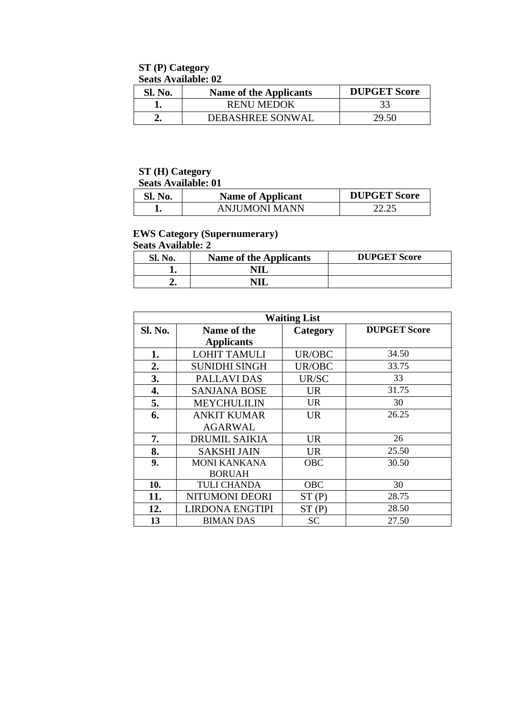### **ST (P) Category Seats Available: 02**

| Sl. No. | <b>Name of the Applicants</b> | <b>DUPGET Score</b> |
|---------|-------------------------------|---------------------|
|         | <b>RENU MEDOK</b>             |                     |
|         | <b>DEBASHREE SONWAL</b>       | 29.50               |

## **ST (H) Category**

### **Seats Available: 01**

| <b>Sl. No.</b> | <b>Name of Applicant</b> | <b>DUPGET Score</b> |
|----------------|--------------------------|---------------------|
|                | ANIUMONI MANN            |                     |

### **EWS Category (Supernumerary)**

| Sl. No. | <b>Name of the Applicants</b> | <b>DUPGET Score</b> |
|---------|-------------------------------|---------------------|
|         |                               |                     |
|         | NIT                           |                     |

| <b>Waiting List</b> |                        |            |                     |  |
|---------------------|------------------------|------------|---------------------|--|
| <b>Sl. No.</b>      | Name of the            | Category   | <b>DUPGET Score</b> |  |
|                     | <b>Applicants</b>      |            |                     |  |
| 1.                  | <b>LOHIT TAMULI</b>    | UR/OBC     | 34.50               |  |
| 2.                  | <b>SUNIDHI SINGH</b>   | UR/OBC     | 33.75               |  |
| 3.                  | PALLAVI DAS            | UR/SC      | 33                  |  |
| 4.                  | <b>SANJANA BOSE</b>    | <b>UR</b>  | 31.75               |  |
| 5.                  | <b>MEYCHULILIN</b>     | <b>UR</b>  | 30                  |  |
| 6.                  | ANKIT KUMAR            | <b>UR</b>  | 26.25               |  |
|                     | <b>AGARWAL</b>         |            |                     |  |
| 7.                  | <b>DRUMIL SAIKIA</b>   | <b>UR</b>  | 26                  |  |
| 8.                  | <b>SAKSHI JAIN</b>     | <b>UR</b>  | 25.50               |  |
| 9.                  | <b>MONI KANKANA</b>    | OBC        | 30.50               |  |
|                     | <b>BORUAH</b>          |            |                     |  |
| 10.                 | <b>TULI CHANDA</b>     | <b>OBC</b> | 30                  |  |
| 11.                 | NITUMONI DEORI         | ST(P)      | 28.75               |  |
| 12.                 | <b>LIRDONA ENGTIPI</b> | ST(P)      | 28.50               |  |
| 13                  | <b>BIMAN DAS</b>       | SС         | 27.50               |  |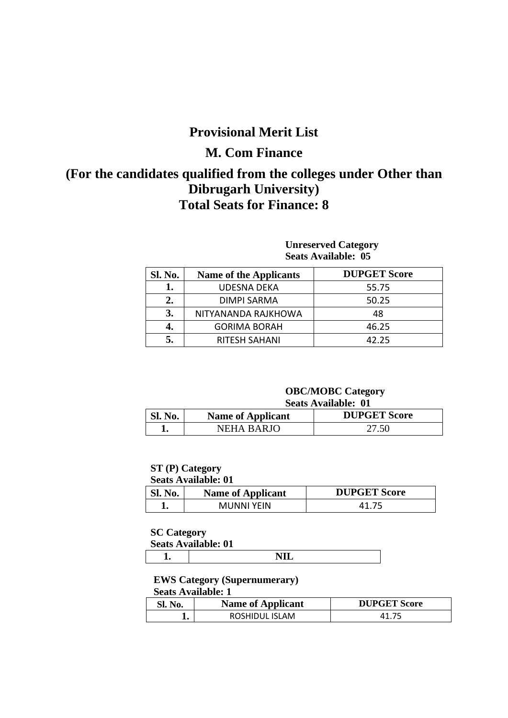# **Provisional Merit List**

# **M. Com Finance**

# **(For the candidates qualified from the colleges under Other than Dibrugarh University) Total Seats for Finance: 8**

### **Unreserved Category Seats Available: 05**

| <b>Sl. No.</b> | <b>Name of the Applicants</b> | <b>DUPGET Score</b> |
|----------------|-------------------------------|---------------------|
|                | <b>UDESNA DEKA</b>            | 55.75               |
| 2.             | <b>DIMPI SARMA</b>            | 50.25               |
| 3.             | NITYANANDA RAJKHOWA           | 48                  |
| 4.             | <b>GORIMA BORAH</b>           | 46.25               |
|                | <b>RITESH SAHANI</b>          | 42.25               |

# **OBC/MOBC Category**

| <b>Sl. No.</b> | <b>Name of Applicant</b> | <b>DUPGET Score</b> |
|----------------|--------------------------|---------------------|
|                | NEHA RARIO               |                     |

### **ST (P) Category**

#### **Seats Available: 01**

| <b>Sl. No.</b> | <b>Name of Applicant</b> | <b>DUPGET Score</b> |
|----------------|--------------------------|---------------------|
|                | <b>MUNNI YEIN</b>        |                     |

### **SC Category**

## **Seats Available: 01**

|--|

### **EWS Category (Supernumerary) Seats Available: 1**

| Sl. No. | <b>Name of Applicant</b> | <b>DUPGET Score</b> |
|---------|--------------------------|---------------------|
| ı.      | ROSHIDUL ISLAM           |                     |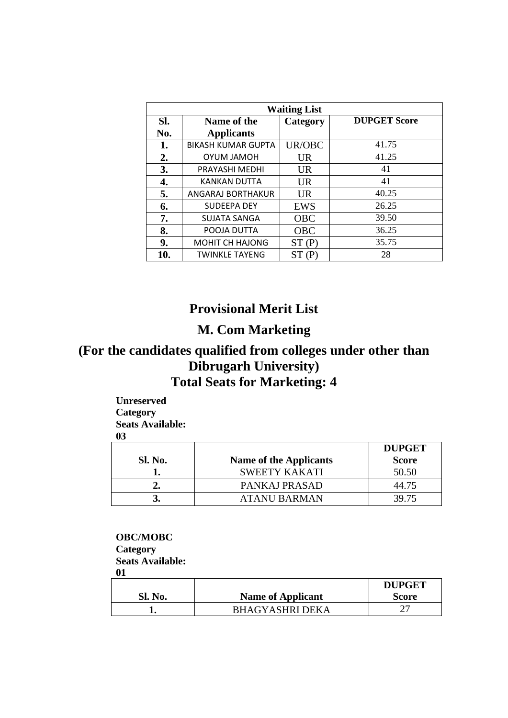| <b>Waiting List</b> |                           |            |                     |  |  |
|---------------------|---------------------------|------------|---------------------|--|--|
| SI.                 | Name of the               | Category   | <b>DUPGET Score</b> |  |  |
| No.                 | <b>Applicants</b>         |            |                     |  |  |
| 1.                  | <b>BIKASH KUMAR GUPTA</b> | UR/OBC     | 41.75               |  |  |
| 2.                  | <b>OYUM JAMOH</b>         | <b>UR</b>  | 41.25               |  |  |
| 3.                  | PRAYASHI MEDHI            | <b>UR</b>  | 41                  |  |  |
| 4.                  | <b>KANKAN DUTTA</b>       | UR.        | 41                  |  |  |
| 5.                  | ANGARAJ BORTHAKUR         | UR.        | 40.25               |  |  |
| 6.                  | <b>SUDEEPA DEY</b>        | <b>EWS</b> | 26.25               |  |  |
| 7.                  | <b>SUJATA SANGA</b>       | <b>OBC</b> | 39.50               |  |  |
| 8.                  | POOJA DUTTA               | <b>OBC</b> | 36.25               |  |  |
| 9.                  | <b>MOHIT CH HAJONG</b>    | ST(P)      | 35.75               |  |  |
| 10.                 | <b>TWINKLE TAYENG</b>     | ST(P)      | 28                  |  |  |

# **Provisional Merit List**

# **M. Com Marketing**

# **(For the candidates qualified from colleges under other than Dibrugarh University) Total Seats for Marketing: 4**

**Unreserved Category Seats Available:** 

## **03**

|                |                               | <b>DUPGET</b> |
|----------------|-------------------------------|---------------|
| <b>Sl. No.</b> | <b>Name of the Applicants</b> | <b>Score</b>  |
|                | <b>SWEETY KAKATI</b>          | 50.50         |
|                | PANKAJ PRASAD                 | 44.75         |
|                | ATANU BARMAN                  | 39.75         |

### **OBC/MOBC**

**Category**

**Seats Available:** 

**01**

|                |                          | <b>DUPGET</b> |
|----------------|--------------------------|---------------|
| <b>Sl. No.</b> | <b>Name of Applicant</b> | <b>Score</b>  |
|                | <b>BHAGYASHRI DEKA</b>   |               |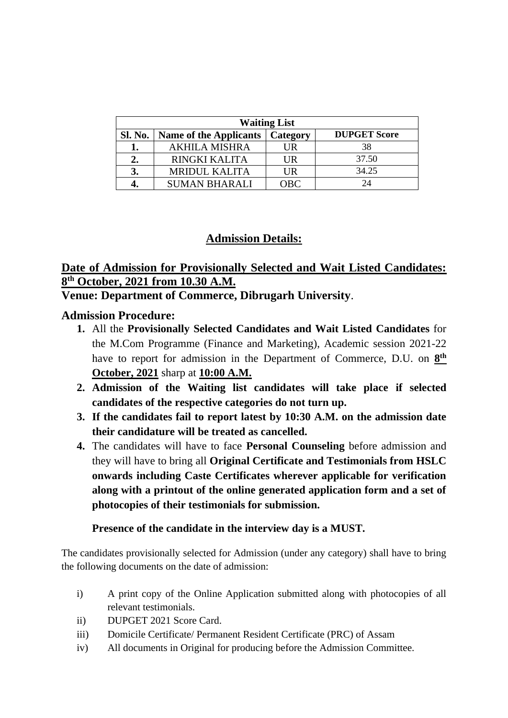| <b>Waiting List</b> |                                             |     |                     |
|---------------------|---------------------------------------------|-----|---------------------|
|                     | Sl. No.   Name of the Applicants   Category |     | <b>DUPGET Score</b> |
|                     | <b>AKHILA MISHRA</b>                        | UR  | 38                  |
|                     | <b>RINGKI KALITA</b>                        | UR  | 37.50               |
|                     | <b>MRIDUL KALITA</b>                        | UR  | 34.25               |
|                     | SUMAN BHARALI                               | OBC |                     |

## **Admission Details:**

# **Date of Admission for Provisionally Selected and Wait Listed Candidates: 8 th October, 2021 from 10.30 A.M.**

**Venue: Department of Commerce, Dibrugarh University**.

## **Admission Procedure:**

- **1.** All the **Provisionally Selected Candidates and Wait Listed Candidates** for the M.Com Programme (Finance and Marketing), Academic session 2021-22 have to report for admission in the Department of Commerce, D.U. on  $8^{\text{th}}$ **October, 2021** sharp at **10:00 A.M.**
- **2. Admission of the Waiting list candidates will take place if selected candidates of the respective categories do not turn up.**
- **3. If the candidates fail to report latest by 10:30 A.M. on the admission date their candidature will be treated as cancelled.**
- **4.** The candidates will have to face **Personal Counseling** before admission and they will have to bring all **Original Certificate and Testimonials from HSLC onwards including Caste Certificates wherever applicable for verification along with a printout of the online generated application form and a set of photocopies of their testimonials for submission.**

## **Presence of the candidate in the interview day is a MUST.**

The candidates provisionally selected for Admission (under any category) shall have to bring the following documents on the date of admission:

- i) A print copy of the Online Application submitted along with photocopies of all relevant testimonials.
- ii) DUPGET 2021 Score Card.
- iii) Domicile Certificate/ Permanent Resident Certificate (PRC) of Assam
- iv) All documents in Original for producing before the Admission Committee.